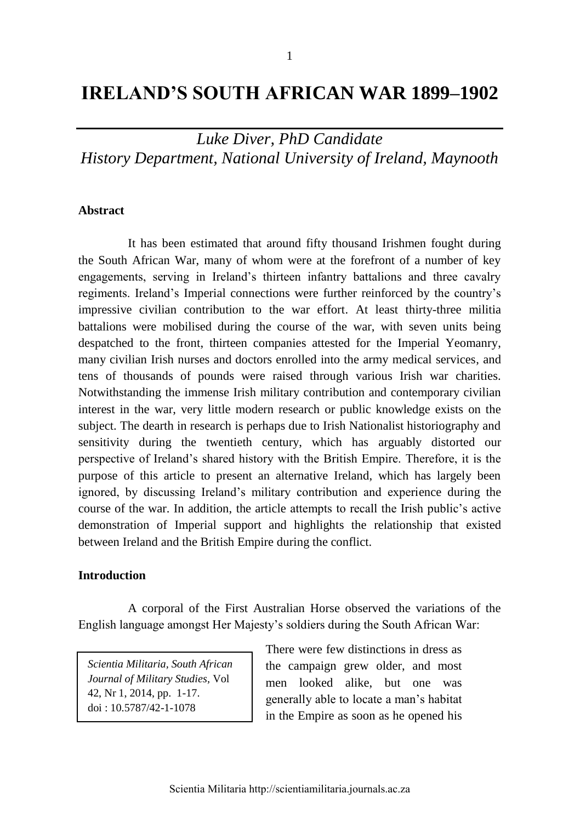# **IRELAND'S SOUTH AFRICAN WAR 1899–1902**

*Luke Diver, PhD Candidate History Department, National University of Ireland, Maynooth*

## **Abstract**

It has been estimated that around fifty thousand Irishmen fought during the South African War, many of whom were at the forefront of a number of key engagements, serving in Ireland's thirteen infantry battalions and three cavalry regiments. Ireland's Imperial connections were further reinforced by the country's impressive civilian contribution to the war effort. At least thirty-three militia battalions were mobilised during the course of the war, with seven units being despatched to the front, thirteen companies attested for the Imperial Yeomanry, many civilian Irish nurses and doctors enrolled into the army medical services, and tens of thousands of pounds were raised through various Irish war charities. Notwithstanding the immense Irish military contribution and contemporary civilian interest in the war, very little modern research or public knowledge exists on the subject. The dearth in research is perhaps due to Irish Nationalist historiography and sensitivity during the twentieth century, which has arguably distorted our perspective of Ireland's shared history with the British Empire. Therefore, it is the purpose of this article to present an alternative Ireland, which has largely been ignored, by discussing Ireland's military contribution and experience during the course of the war. In addition, the article attempts to recall the Irish public's active demonstration of Imperial support and highlights the relationship that existed between Ireland and the British Empire during the conflict.

### **Introduction**

A corporal of the First Australian Horse observed the variations of the English language amongst Her Majesty's soldiers during the South African War:

*Scientia Militaria, South African Journal of Military Studies,* Vol 42, Nr 1, 2014, pp. 1-17. doi : 10.5787/42-1-1078

There were few distinctions in dress as the campaign grew older, and most men looked alike, but one was generally able to locate a man's habitat in the Empire as soon as he opened his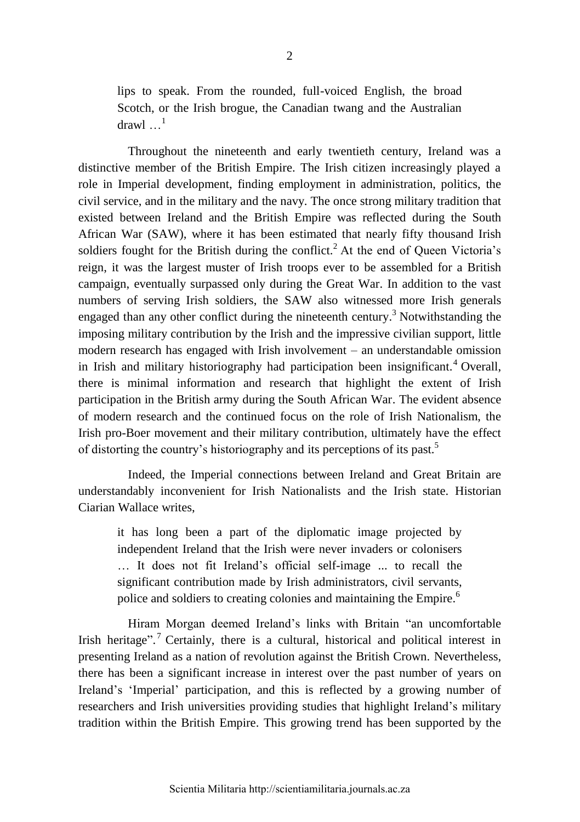lips to speak. From the rounded, full-voiced English, the broad Scotch, or the Irish brogue, the Canadian twang and the Australian drawl  $\ldots$ <sup>1</sup>

Throughout the nineteenth and early twentieth century, Ireland was a distinctive member of the British Empire. The Irish citizen increasingly played a role in Imperial development, finding employment in administration, politics, the civil service, and in the military and the navy. The once strong military tradition that existed between Ireland and the British Empire was reflected during the South African War (SAW), where it has been estimated that nearly fifty thousand Irish soldiers fought for the British during the conflict.<sup>2</sup> At the end of Queen Victoria's reign, it was the largest muster of Irish troops ever to be assembled for a British campaign, eventually surpassed only during the Great War. In addition to the vast numbers of serving Irish soldiers, the SAW also witnessed more Irish generals engaged than any other conflict during the nineteenth century.<sup>3</sup> Notwithstanding the imposing military contribution by the Irish and the impressive civilian support, little modern research has engaged with Irish involvement – an understandable omission in Irish and military historiography had participation been insignificant.<sup>4</sup> Overall, there is minimal information and research that highlight the extent of Irish participation in the British army during the South African War. The evident absence of modern research and the continued focus on the role of Irish Nationalism, the Irish pro-Boer movement and their military contribution, ultimately have the effect of distorting the country's historiography and its perceptions of its past.<sup>5</sup>

Indeed, the Imperial connections between Ireland and Great Britain are understandably inconvenient for Irish Nationalists and the Irish state. Historian Ciarian Wallace writes,

it has long been a part of the diplomatic image projected by independent Ireland that the Irish were never invaders or colonisers … It does not fit Ireland's official self-image ... to recall the significant contribution made by Irish administrators, civil servants, police and soldiers to creating colonies and maintaining the Empire.<sup>6</sup>

Hiram Morgan deemed Ireland's links with Britain "an uncomfortable Irish heritage".<sup>7</sup> Certainly, there is a cultural, historical and political interest in presenting Ireland as a nation of revolution against the British Crown. Nevertheless, there has been a significant increase in interest over the past number of years on Ireland's 'Imperial' participation, and this is reflected by a growing number of researchers and Irish universities providing studies that highlight Ireland's military tradition within the British Empire. This growing trend has been supported by the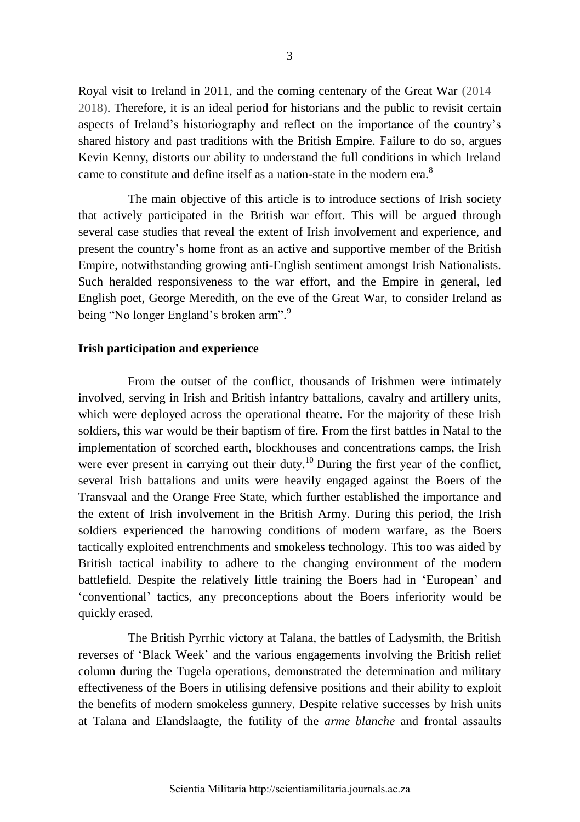Royal visit to Ireland in 2011, and the coming centenary of the Great War (2014 – 2018). Therefore, it is an ideal period for historians and the public to revisit certain aspects of Ireland's historiography and reflect on the importance of the country's shared history and past traditions with the British Empire. Failure to do so, argues Kevin Kenny, distorts our ability to understand the full conditions in which Ireland came to constitute and define itself as a nation-state in the modern era.<sup>8</sup>

The main objective of this article is to introduce sections of Irish society that actively participated in the British war effort. This will be argued through several case studies that reveal the extent of Irish involvement and experience, and present the country's home front as an active and supportive member of the British Empire, notwithstanding growing anti-English sentiment amongst Irish Nationalists. Such heralded responsiveness to the war effort, and the Empire in general, led English poet, George Meredith, on the eve of the Great War, to consider Ireland as being "No longer England's broken arm". 9

#### **Irish participation and experience**

From the outset of the conflict, thousands of Irishmen were intimately involved, serving in Irish and British infantry battalions, cavalry and artillery units, which were deployed across the operational theatre. For the majority of these Irish soldiers, this war would be their baptism of fire. From the first battles in Natal to the implementation of scorched earth, blockhouses and concentrations camps, the Irish were ever present in carrying out their duty.<sup>10</sup> During the first year of the conflict, several Irish battalions and units were heavily engaged against the Boers of the Transvaal and the Orange Free State, which further established the importance and the extent of Irish involvement in the British Army. During this period, the Irish soldiers experienced the harrowing conditions of modern warfare, as the Boers tactically exploited entrenchments and smokeless technology. This too was aided by British tactical inability to adhere to the changing environment of the modern battlefield. Despite the relatively little training the Boers had in 'European' and 'conventional' tactics, any preconceptions about the Boers inferiority would be quickly erased.

The British Pyrrhic victory at Talana, the battles of Ladysmith, the British reverses of 'Black Week' and the various engagements involving the British relief column during the Tugela operations, demonstrated the determination and military effectiveness of the Boers in utilising defensive positions and their ability to exploit the benefits of modern smokeless gunnery. Despite relative successes by Irish units at Talana and Elandslaagte, the futility of the *arme blanche* and frontal assaults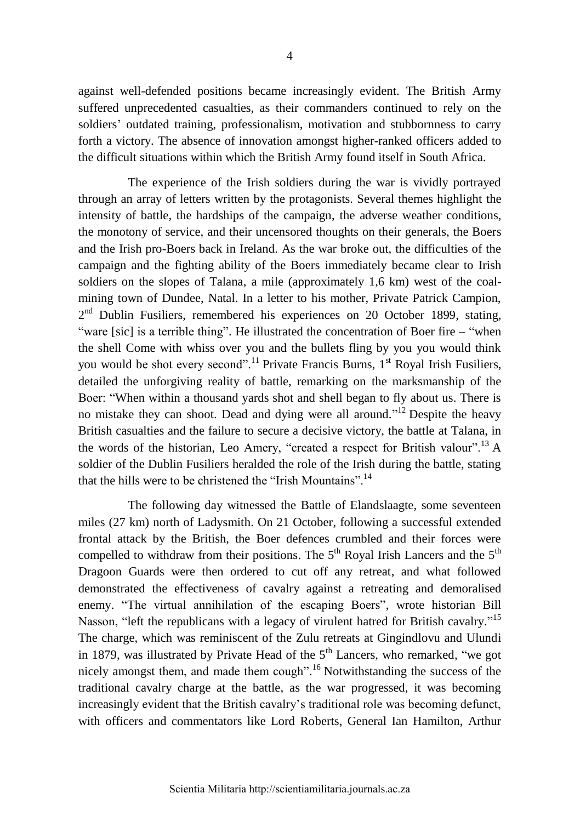against well-defended positions became increasingly evident. The British Army suffered unprecedented casualties, as their commanders continued to rely on the soldiers' outdated training, professionalism, motivation and stubbornness to carry forth a victory. The absence of innovation amongst higher-ranked officers added to the difficult situations within which the British Army found itself in South Africa.

The experience of the Irish soldiers during the war is vividly portrayed through an array of letters written by the protagonists. Several themes highlight the intensity of battle, the hardships of the campaign, the adverse weather conditions, the monotony of service, and their uncensored thoughts on their generals, the Boers and the Irish pro-Boers back in Ireland. As the war broke out, the difficulties of the campaign and the fighting ability of the Boers immediately became clear to Irish soldiers on the slopes of Talana, a mile (approximately 1,6 km) west of the coalmining town of Dundee, Natal. In a letter to his mother, Private Patrick Campion, 2<sup>nd</sup> Dublin Fusiliers, remembered his experiences on 20 October 1899, stating, "ware [sic] is a terrible thing". He illustrated the concentration of Boer fire – "when the shell Come with whiss over you and the bullets fling by you you would think you would be shot every second".<sup>11</sup> Private Francis Burns, 1<sup>st</sup> Royal Irish Fusiliers, detailed the unforgiving reality of battle, remarking on the marksmanship of the Boer: "When within a thousand yards shot and shell began to fly about us. There is no mistake they can shoot. Dead and dying were all around." <sup>12</sup> Despite the heavy British casualties and the failure to secure a decisive victory, the battle at Talana, in the words of the historian, Leo Amery, "created a respect for British valour".<sup>13</sup> A soldier of the Dublin Fusiliers heralded the role of the Irish during the battle, stating that the hills were to be christened the "Irish Mountains".<sup>14</sup>

The following day witnessed the Battle of Elandslaagte, some seventeen miles (27 km) north of Ladysmith. On 21 October, following a successful extended frontal attack by the British, the Boer defences crumbled and their forces were compelled to withdraw from their positions. The  $5<sup>th</sup>$  Royal Irish Lancers and the  $5<sup>th</sup>$ Dragoon Guards were then ordered to cut off any retreat, and what followed demonstrated the effectiveness of cavalry against a retreating and demoralised enemy. "The virtual annihilation of the escaping Boers", wrote historian Bill Nasson, "left the republicans with a legacy of virulent hatred for British cavalry."<sup>15</sup> The charge, which was reminiscent of the Zulu retreats at Gingindlovu and Ulundi in 1879, was illustrated by Private Head of the  $5<sup>th</sup>$  Lancers, who remarked. "we got nicely amongst them, and made them cough".<sup>16</sup> Notwithstanding the success of the traditional cavalry charge at the battle, as the war progressed, it was becoming increasingly evident that the British cavalry's traditional role was becoming defunct, with officers and commentators like Lord Roberts, General Ian Hamilton, Arthur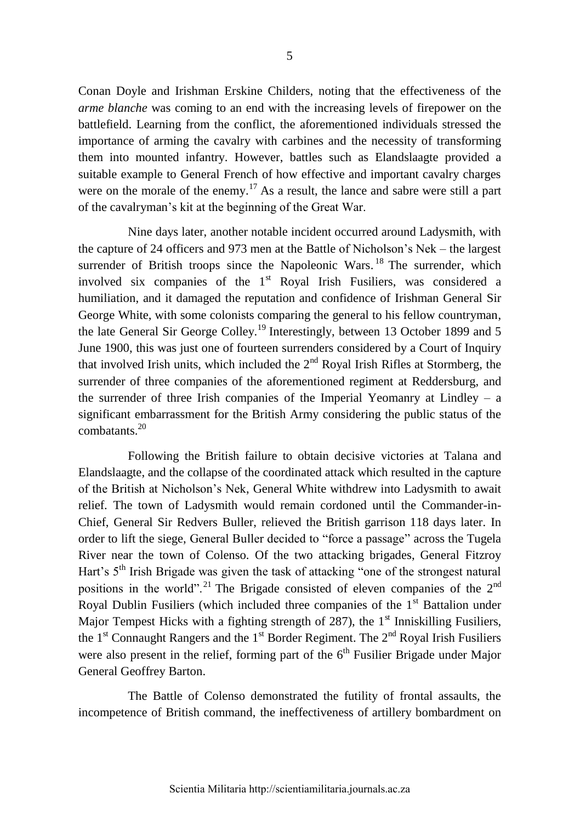Conan Doyle and Irishman Erskine Childers, noting that the effectiveness of the *arme blanche* was coming to an end with the increasing levels of firepower on the battlefield. Learning from the conflict, the aforementioned individuals stressed the importance of arming the cavalry with carbines and the necessity of transforming them into mounted infantry. However, battles such as Elandslaagte provided a suitable example to General French of how effective and important cavalry charges were on the morale of the enemy.<sup>17</sup> As a result, the lance and sabre were still a part of the cavalryman's kit at the beginning of the Great War.

Nine days later, another notable incident occurred around Ladysmith, with the capture of 24 officers and 973 men at the Battle of Nicholson's Nek – the largest surrender of British troops since the Napoleonic Wars.<sup>18</sup> The surrender, which involved six companies of the  $1<sup>st</sup>$  Royal Irish Fusiliers, was considered a humiliation, and it damaged the reputation and confidence of Irishman General Sir George White, with some colonists comparing the general to his fellow countryman, the late General Sir George Colley.<sup>19</sup> Interestingly, between 13 October 1899 and 5 June 1900, this was just one of fourteen surrenders considered by a Court of Inquiry that involved Irish units, which included the  $2<sup>nd</sup>$  Royal Irish Rifles at Stormberg, the surrender of three companies of the aforementioned regiment at Reddersburg, and the surrender of three Irish companies of the Imperial Yeomanry at Lindley – a significant embarrassment for the British Army considering the public status of the combatants.<sup>20</sup>

Following the British failure to obtain decisive victories at Talana and Elandslaagte, and the collapse of the coordinated attack which resulted in the capture of the British at Nicholson's Nek, General White withdrew into Ladysmith to await relief. The town of Ladysmith would remain cordoned until the Commander-in-Chief, General Sir Redvers Buller, relieved the British garrison 118 days later. In order to lift the siege, General Buller decided to "force a passage" across the Tugela River near the town of Colenso. Of the two attacking brigades, General Fitzroy Hart's 5<sup>th</sup> Irish Brigade was given the task of attacking "one of the strongest natural positions in the world".<sup>21</sup> The Brigade consisted of eleven companies of the  $2<sup>nd</sup>$ Royal Dublin Fusiliers (which included three companies of the 1st Battalion under Major Tempest Hicks with a fighting strength of  $287$ ), the  $1<sup>st</sup>$  Inniskilling Fusiliers, the  $1<sup>st</sup>$  Connaught Rangers and the  $1<sup>st</sup>$  Border Regiment. The  $2<sup>nd</sup>$  Royal Irish Fusiliers were also present in the relief, forming part of the  $6<sup>th</sup>$  Fusilier Brigade under Major General Geoffrey Barton.

The Battle of Colenso demonstrated the futility of frontal assaults, the incompetence of British command, the ineffectiveness of artillery bombardment on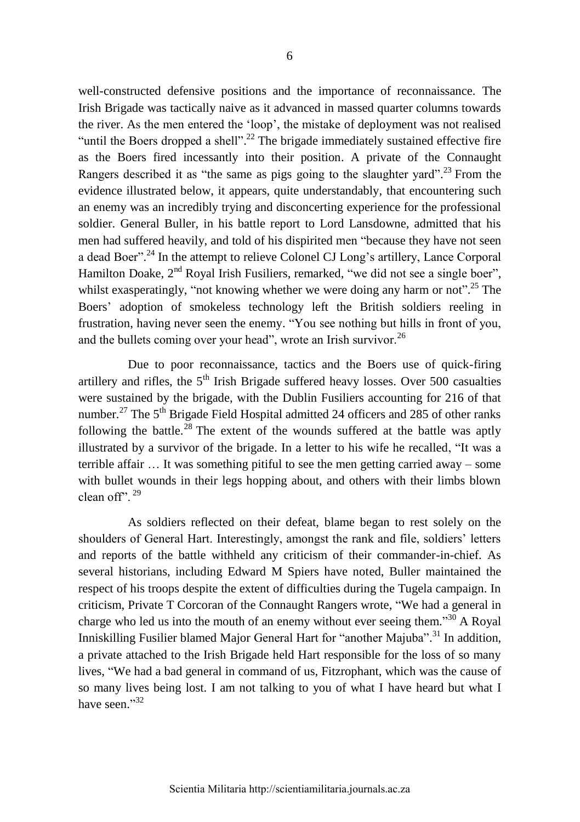well-constructed defensive positions and the importance of reconnaissance. The Irish Brigade was tactically naive as it advanced in massed quarter columns towards the river. As the men entered the 'loop', the mistake of deployment was not realised "until the Boers dropped a shell".<sup>22</sup> The brigade immediately sustained effective fire as the Boers fired incessantly into their position. A private of the Connaught Rangers described it as "the same as pigs going to the slaughter yard".<sup>23</sup> From the evidence illustrated below, it appears, quite understandably, that encountering such an enemy was an incredibly trying and disconcerting experience for the professional soldier. General Buller, in his battle report to Lord Lansdowne, admitted that his men had suffered heavily, and told of his dispirited men "because they have not seen a dead Boer".<sup>24</sup> In the attempt to relieve Colonel CJ Long's artillery, Lance Corporal Hamilton Doake, 2<sup>nd</sup> Royal Irish Fusiliers, remarked, "we did not see a single boer", whilst exasperatingly, "not knowing whether we were doing any harm or not".<sup>25</sup> The Boers' adoption of smokeless technology left the British soldiers reeling in frustration, having never seen the enemy. "You see nothing but hills in front of you, and the bullets coming over your head", wrote an Irish survivor.<sup>26</sup>

Due to poor reconnaissance, tactics and the Boers use of quick-firing artillery and rifles, the  $5<sup>th</sup>$  Irish Brigade suffered heavy losses. Over 500 casualties were sustained by the brigade, with the Dublin Fusiliers accounting for 216 of that number.<sup>27</sup> The 5<sup>th</sup> Brigade Field Hospital admitted 24 officers and 285 of other ranks following the battle.<sup>28</sup> The extent of the wounds suffered at the battle was aptly illustrated by a survivor of the brigade. In a letter to his wife he recalled, "It was a terrible affair … It was something pitiful to see the men getting carried away – some with bullet wounds in their legs hopping about, and others with their limbs blown clean off". <sup>29</sup>

As soldiers reflected on their defeat, blame began to rest solely on the shoulders of General Hart. Interestingly, amongst the rank and file, soldiers' letters and reports of the battle withheld any criticism of their commander-in-chief. As several historians, including Edward M Spiers have noted, Buller maintained the respect of his troops despite the extent of difficulties during the Tugela campaign. In criticism, Private T Corcoran of the Connaught Rangers wrote, "We had a general in charge who led us into the mouth of an enemy without ever seeing them."<sup>30</sup> A Royal Inniskilling Fusilier blamed Major General Hart for "another Majuba".<sup>31</sup> In addition, a private attached to the Irish Brigade held Hart responsible for the loss of so many lives, "We had a bad general in command of us, Fitzrophant, which was the cause of so many lives being lost. I am not talking to you of what I have heard but what I have seen."32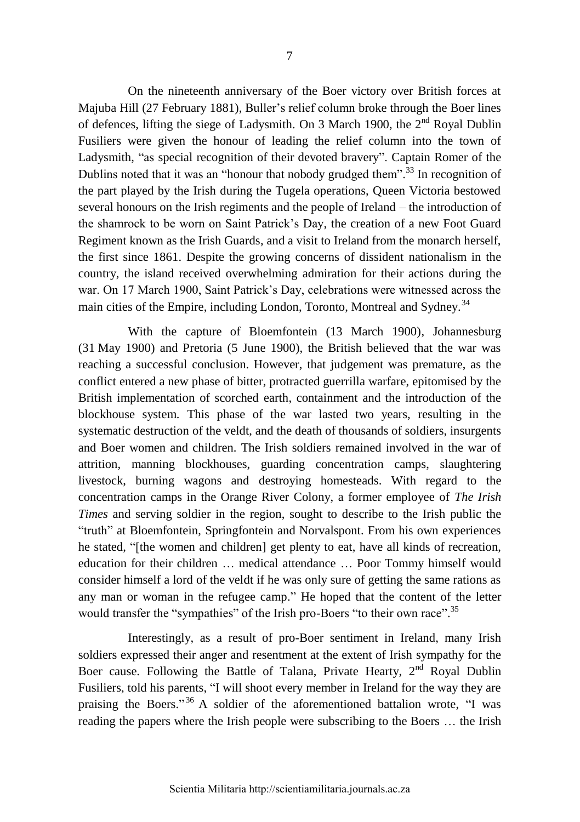On the nineteenth anniversary of the Boer victory over British forces at Majuba Hill (27 February 1881), Buller's relief column broke through the Boer lines of defences, lifting the siege of Ladysmith. On 3 March 1900, the  $2<sup>nd</sup>$  Royal Dublin Fusiliers were given the honour of leading the relief column into the town of Ladysmith, "as special recognition of their devoted bravery". Captain Romer of the Dublins noted that it was an "honour that nobody grudged them". <sup>33</sup> In recognition of the part played by the Irish during the Tugela operations, Queen Victoria bestowed several honours on the Irish regiments and the people of Ireland – the introduction of the shamrock to be worn on Saint Patrick's Day, the creation of a new Foot Guard Regiment known as the Irish Guards, and a visit to Ireland from the monarch herself, the first since 1861. Despite the growing concerns of dissident nationalism in the country, the island received overwhelming admiration for their actions during the war. On 17 March 1900, Saint Patrick's Day, celebrations were witnessed across the main cities of the Empire, including London, Toronto, Montreal and Sydney.<sup>34</sup>

With the capture of Bloemfontein (13 March 1900), Johannesburg (31 May 1900) and Pretoria (5 June 1900), the British believed that the war was reaching a successful conclusion. However, that judgement was premature, as the conflict entered a new phase of bitter, protracted guerrilla warfare, epitomised by the British implementation of scorched earth, containment and the introduction of the blockhouse system. This phase of the war lasted two years, resulting in the systematic destruction of the veldt, and the death of thousands of soldiers, insurgents and Boer women and children. The Irish soldiers remained involved in the war of attrition, manning blockhouses, guarding concentration camps, slaughtering livestock, burning wagons and destroying homesteads. With regard to the concentration camps in the Orange River Colony, a former employee of *The Irish Times* and serving soldier in the region, sought to describe to the Irish public the "truth" at Bloemfontein, Springfontein and Norvalspont. From his own experiences he stated, "[the women and children] get plenty to eat, have all kinds of recreation, education for their children … medical attendance … Poor Tommy himself would consider himself a lord of the veldt if he was only sure of getting the same rations as any man or woman in the refugee camp." He hoped that the content of the letter would transfer the "sympathies" of the Irish pro-Boers "to their own race".<sup>35</sup>

Interestingly, as a result of pro-Boer sentiment in Ireland, many Irish soldiers expressed their anger and resentment at the extent of Irish sympathy for the Boer cause. Following the Battle of Talana, Private Hearty, 2<sup>nd</sup> Royal Dublin Fusiliers, told his parents, "I will shoot every member in Ireland for the way they are praising the Boers."<sup>36</sup> A soldier of the aforementioned battalion wrote, "I was reading the papers where the Irish people were subscribing to the Boers … the Irish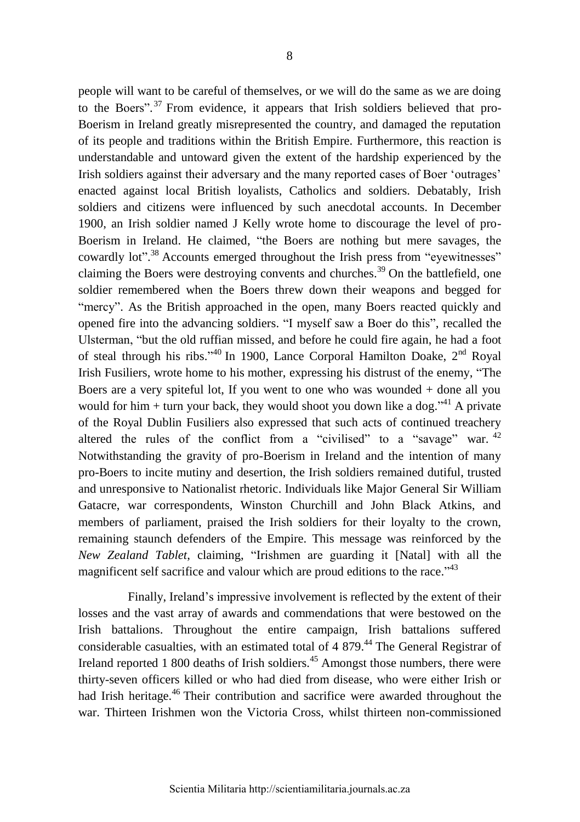people will want to be careful of themselves, or we will do the same as we are doing to the Boers". <sup>37</sup> From evidence, it appears that Irish soldiers believed that pro-Boerism in Ireland greatly misrepresented the country, and damaged the reputation of its people and traditions within the British Empire. Furthermore, this reaction is understandable and untoward given the extent of the hardship experienced by the Irish soldiers against their adversary and the many reported cases of Boer 'outrages' enacted against local British loyalists, Catholics and soldiers. Debatably, Irish soldiers and citizens were influenced by such anecdotal accounts. In December 1900, an Irish soldier named J Kelly wrote home to discourage the level of pro-Boerism in Ireland. He claimed, "the Boers are nothing but mere savages, the cowardly lot".<sup>38</sup> Accounts emerged throughout the Irish press from "eyewitnesses" claiming the Boers were destroying convents and churches.<sup>39</sup> On the battlefield, one soldier remembered when the Boers threw down their weapons and begged for "mercy". As the British approached in the open, many Boers reacted quickly and opened fire into the advancing soldiers. "I myself saw a Boer do this", recalled the Ulsterman, "but the old ruffian missed, and before he could fire again, he had a foot of steal through his ribs."<sup>40</sup> In 1900, Lance Corporal Hamilton Doake, 2<sup>nd</sup> Royal Irish Fusiliers, wrote home to his mother, expressing his distrust of the enemy, "The Boers are a very spiteful lot, If you went to one who was wounded  $+$  done all you would for him  $+$  turn your back, they would shoot you down like a dog.<sup>341</sup> A private of the Royal Dublin Fusiliers also expressed that such acts of continued treachery altered the rules of the conflict from a "civilised" to a "savage" war.  $42$ Notwithstanding the gravity of pro-Boerism in Ireland and the intention of many pro-Boers to incite mutiny and desertion, the Irish soldiers remained dutiful, trusted and unresponsive to Nationalist rhetoric. Individuals like Major General Sir William Gatacre, war correspondents, Winston Churchill and John Black Atkins, and members of parliament, praised the Irish soldiers for their loyalty to the crown, remaining staunch defenders of the Empire. This message was reinforced by the *New Zealand Tablet*, claiming, "Irishmen are guarding it [Natal] with all the magnificent self sacrifice and valour which are proud editions to the race."<sup>43</sup>

Finally, Ireland's impressive involvement is reflected by the extent of their losses and the vast array of awards and commendations that were bestowed on the Irish battalions. Throughout the entire campaign, Irish battalions suffered considerable casualties, with an estimated total of 4 879.<sup>44</sup> The General Registrar of Ireland reported 1 800 deaths of Irish soldiers.<sup>45</sup> Amongst those numbers, there were thirty-seven officers killed or who had died from disease, who were either Irish or had Irish heritage.<sup>46</sup> Their contribution and sacrifice were awarded throughout the war. Thirteen Irishmen won the Victoria Cross, whilst thirteen non-commissioned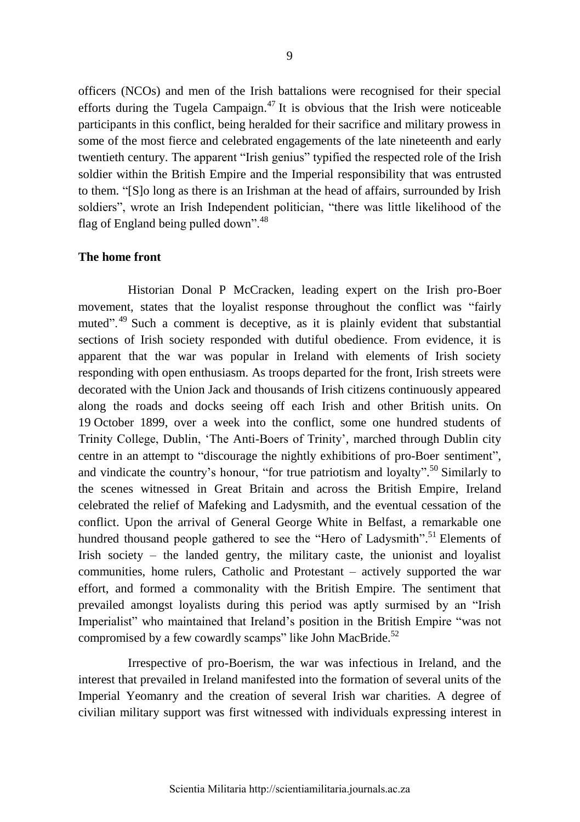officers (NCOs) and men of the Irish battalions were recognised for their special efforts during the Tugela Campaign.<sup>47</sup> It is obvious that the Irish were noticeable participants in this conflict, being heralded for their sacrifice and military prowess in some of the most fierce and celebrated engagements of the late nineteenth and early twentieth century. The apparent "Irish genius" typified the respected role of the Irish soldier within the British Empire and the Imperial responsibility that was entrusted to them. "[S]o long as there is an Irishman at the head of affairs, surrounded by Irish soldiers", wrote an Irish Independent politician, "there was little likelihood of the flag of England being pulled down".<sup>48</sup>

## **The home front**

Historian Donal P McCracken, leading expert on the Irish pro-Boer movement, states that the loyalist response throughout the conflict was "fairly muted".<sup>49</sup> Such a comment is deceptive, as it is plainly evident that substantial sections of Irish society responded with dutiful obedience. From evidence, it is apparent that the war was popular in Ireland with elements of Irish society responding with open enthusiasm. As troops departed for the front, Irish streets were decorated with the Union Jack and thousands of Irish citizens continuously appeared along the roads and docks seeing off each Irish and other British units. On 19 October 1899, over a week into the conflict, some one hundred students of Trinity College, Dublin, 'The Anti-Boers of Trinity', marched through Dublin city centre in an attempt to "discourage the nightly exhibitions of pro-Boer sentiment", and vindicate the country's honour, "for true patriotism and loyalty".<sup>50</sup> Similarly to the scenes witnessed in Great Britain and across the British Empire, Ireland celebrated the relief of Mafeking and Ladysmith, and the eventual cessation of the conflict. Upon the arrival of General George White in Belfast, a remarkable one hundred thousand people gathered to see the "Hero of Ladysmith".<sup>51</sup> Elements of Irish society – the landed gentry, the military caste, the unionist and loyalist communities, home rulers, Catholic and Protestant – actively supported the war effort, and formed a commonality with the British Empire. The sentiment that prevailed amongst loyalists during this period was aptly surmised by an "Irish Imperialist" who maintained that Ireland's position in the British Empire "was not compromised by a few cowardly scamps" like John MacBride.<sup>52</sup>

Irrespective of pro-Boerism, the war was infectious in Ireland, and the interest that prevailed in Ireland manifested into the formation of several units of the Imperial Yeomanry and the creation of several Irish war charities. A degree of civilian military support was first witnessed with individuals expressing interest in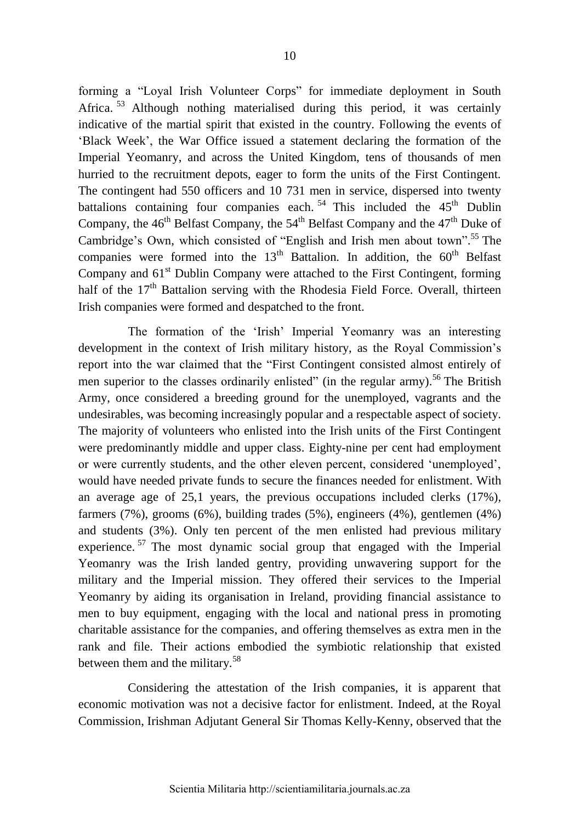forming a "Loyal Irish Volunteer Corps" for immediate deployment in South Africa. <sup>53</sup> Although nothing materialised during this period, it was certainly indicative of the martial spirit that existed in the country. Following the events of 'Black Week', the War Office issued a statement declaring the formation of the Imperial Yeomanry, and across the United Kingdom, tens of thousands of men hurried to the recruitment depots, eager to form the units of the First Contingent. The contingent had 550 officers and 10 731 men in service, dispersed into twenty battalions containing four companies each.  $54$  This included the 45<sup>th</sup> Dublin Company, the  $46<sup>th</sup>$  Belfast Company, the  $54<sup>th</sup>$  Belfast Company and the  $47<sup>th</sup>$  Duke of Cambridge's Own, which consisted of "English and Irish men about town". <sup>55</sup> The companies were formed into the  $13<sup>th</sup>$  Battalion. In addition, the  $60<sup>th</sup>$  Belfast Company and  $61<sup>st</sup>$  Dublin Company were attached to the First Contingent, forming half of the  $17<sup>th</sup>$  Battalion serving with the Rhodesia Field Force. Overall, thirteen Irish companies were formed and despatched to the front.

The formation of the 'Irish' Imperial Yeomanry was an interesting development in the context of Irish military history, as the Royal Commission's report into the war claimed that the "First Contingent consisted almost entirely of men superior to the classes ordinarily enlisted" (in the regular army).<sup>56</sup> The British Army, once considered a breeding ground for the unemployed, vagrants and the undesirables, was becoming increasingly popular and a respectable aspect of society. The majority of volunteers who enlisted into the Irish units of the First Contingent were predominantly middle and upper class. Eighty-nine per cent had employment or were currently students, and the other eleven percent, considered 'unemployed', would have needed private funds to secure the finances needed for enlistment. With an average age of 25,1 years, the previous occupations included clerks (17%), farmers (7%), grooms (6%), building trades (5%), engineers (4%), gentlemen (4%) and students (3%). Only ten percent of the men enlisted had previous military experience.<sup>57</sup> The most dynamic social group that engaged with the Imperial Yeomanry was the Irish landed gentry, providing unwavering support for the military and the Imperial mission. They offered their services to the Imperial Yeomanry by aiding its organisation in Ireland, providing financial assistance to men to buy equipment, engaging with the local and national press in promoting charitable assistance for the companies, and offering themselves as extra men in the rank and file. Their actions embodied the symbiotic relationship that existed between them and the military.<sup>58</sup>

Considering the attestation of the Irish companies, it is apparent that economic motivation was not a decisive factor for enlistment. Indeed, at the Royal Commission, Irishman Adjutant General Sir Thomas Kelly-Kenny, observed that the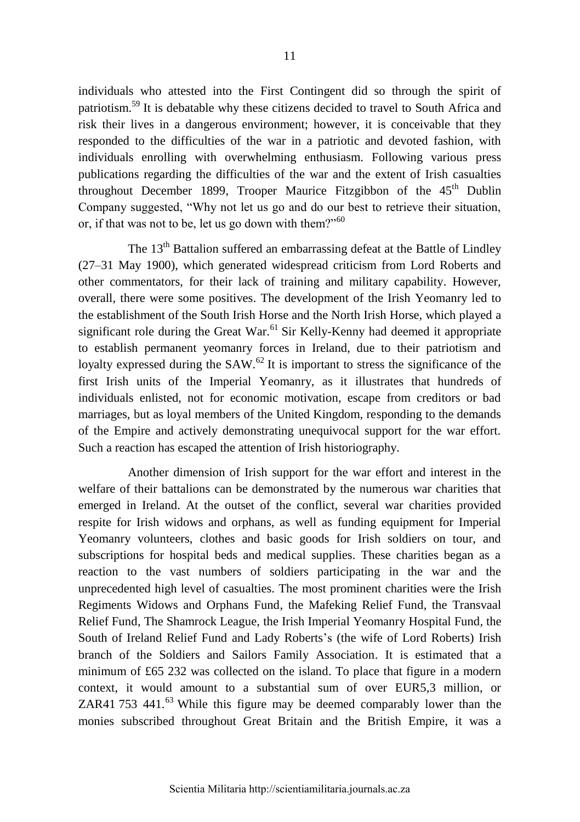individuals who attested into the First Contingent did so through the spirit of patriotism.<sup>59</sup> It is debatable why these citizens decided to travel to South Africa and risk their lives in a dangerous environment; however, it is conceivable that they responded to the difficulties of the war in a patriotic and devoted fashion, with individuals enrolling with overwhelming enthusiasm. Following various press publications regarding the difficulties of the war and the extent of Irish casualties throughout December 1899, Trooper Maurice Fitzgibbon of the 45<sup>th</sup> Dublin Company suggested, "Why not let us go and do our best to retrieve their situation, or, if that was not to be, let us go down with them?"<sup>60</sup>

The 13<sup>th</sup> Battalion suffered an embarrassing defeat at the Battle of Lindley (27–31 May 1900), which generated widespread criticism from Lord Roberts and other commentators, for their lack of training and military capability. However, overall, there were some positives. The development of the Irish Yeomanry led to the establishment of the South Irish Horse and the North Irish Horse, which played a significant role during the Great War.<sup>61</sup> Sir Kelly-Kenny had deemed it appropriate to establish permanent yeomanry forces in Ireland, due to their patriotism and loyalty expressed during the SAW.<sup>62</sup> It is important to stress the significance of the first Irish units of the Imperial Yeomanry, as it illustrates that hundreds of individuals enlisted, not for economic motivation, escape from creditors or bad marriages, but as loyal members of the United Kingdom, responding to the demands of the Empire and actively demonstrating unequivocal support for the war effort. Such a reaction has escaped the attention of Irish historiography.

Another dimension of Irish support for the war effort and interest in the welfare of their battalions can be demonstrated by the numerous war charities that emerged in Ireland. At the outset of the conflict, several war charities provided respite for Irish widows and orphans, as well as funding equipment for Imperial Yeomanry volunteers, clothes and basic goods for Irish soldiers on tour, and subscriptions for hospital beds and medical supplies. These charities began as a reaction to the vast numbers of soldiers participating in the war and the unprecedented high level of casualties. The most prominent charities were the Irish Regiments Widows and Orphans Fund, the Mafeking Relief Fund, the Transvaal Relief Fund, The Shamrock League, the Irish Imperial Yeomanry Hospital Fund*,* the South of Ireland Relief Fund and Lady Roberts's (the wife of Lord Roberts) Irish branch of the Soldiers and Sailors Family Association. It is estimated that a minimum of £65 232 was collected on the island. To place that figure in a modern context, it would amount to a substantial sum of over EUR5,3 million, or ZAR41 753 441. $^{63}$  While this figure may be deemed comparably lower than the monies subscribed throughout Great Britain and the British Empire, it was a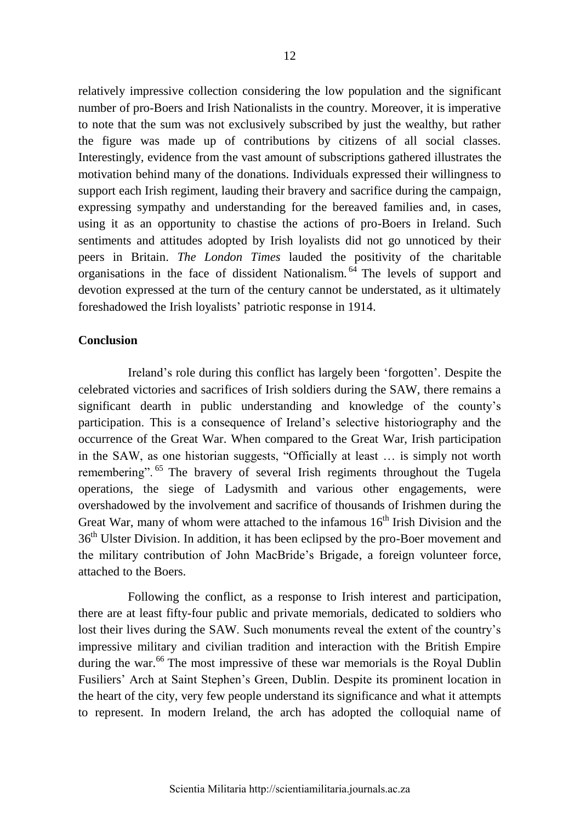relatively impressive collection considering the low population and the significant number of pro-Boers and Irish Nationalists in the country. Moreover, it is imperative to note that the sum was not exclusively subscribed by just the wealthy, but rather the figure was made up of contributions by citizens of all social classes. Interestingly, evidence from the vast amount of subscriptions gathered illustrates the motivation behind many of the donations. Individuals expressed their willingness to support each Irish regiment, lauding their bravery and sacrifice during the campaign, expressing sympathy and understanding for the bereaved families and, in cases, using it as an opportunity to chastise the actions of pro-Boers in Ireland. Such sentiments and attitudes adopted by Irish loyalists did not go unnoticed by their peers in Britain. *The London Times* lauded the positivity of the charitable organisations in the face of dissident Nationalism. <sup>64</sup> The levels of support and devotion expressed at the turn of the century cannot be understated, as it ultimately foreshadowed the Irish loyalists' patriotic response in 1914.

## **Conclusion**

Ireland's role during this conflict has largely been 'forgotten'. Despite the celebrated victories and sacrifices of Irish soldiers during the SAW, there remains a significant dearth in public understanding and knowledge of the county's participation. This is a consequence of Ireland's selective historiography and the occurrence of the Great War. When compared to the Great War, Irish participation in the SAW, as one historian suggests, "Officially at least … is simply not worth remembering". <sup>65</sup> The bravery of several Irish regiments throughout the Tugela operations, the siege of Ladysmith and various other engagements, were overshadowed by the involvement and sacrifice of thousands of Irishmen during the Great War, many of whom were attached to the infamous  $16<sup>th</sup>$  Irish Division and the 36<sup>th</sup> Ulster Division. In addition, it has been eclipsed by the pro-Boer movement and the military contribution of John MacBride's Brigade, a foreign volunteer force, attached to the Boers.

Following the conflict, as a response to Irish interest and participation, there are at least fifty-four public and private memorials, dedicated to soldiers who lost their lives during the SAW. Such monuments reveal the extent of the country's impressive military and civilian tradition and interaction with the British Empire during the war.<sup>66</sup> The most impressive of these war memorials is the Royal Dublin Fusiliers' Arch at Saint Stephen's Green, Dublin. Despite its prominent location in the heart of the city, very few people understand its significance and what it attempts to represent. In modern Ireland, the arch has adopted the colloquial name of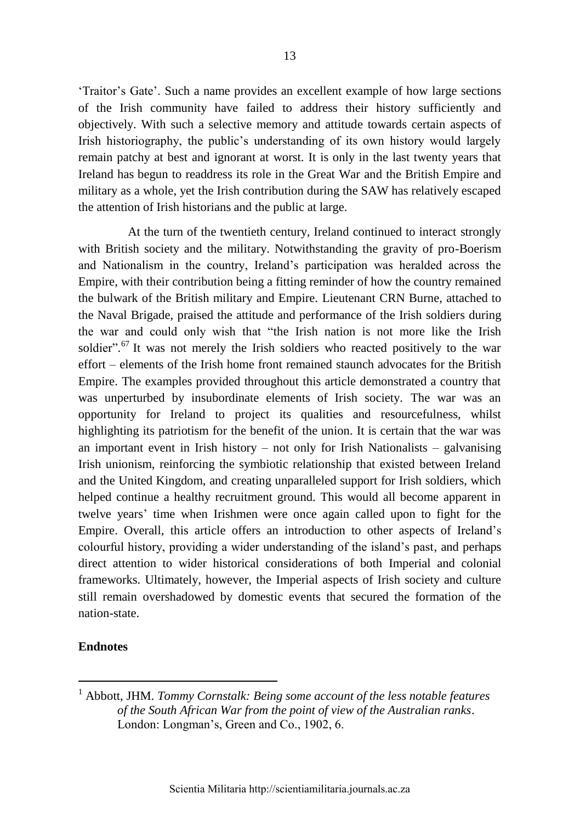'Traitor's Gate'. Such a name provides an excellent example of how large sections of the Irish community have failed to address their history sufficiently and objectively. With such a selective memory and attitude towards certain aspects of Irish historiography, the public's understanding of its own history would largely remain patchy at best and ignorant at worst. It is only in the last twenty years that Ireland has begun to readdress its role in the Great War and the British Empire and military as a whole, yet the Irish contribution during the SAW has relatively escaped the attention of Irish historians and the public at large.

At the turn of the twentieth century, Ireland continued to interact strongly with British society and the military. Notwithstanding the gravity of pro-Boerism and Nationalism in the country, Ireland's participation was heralded across the Empire, with their contribution being a fitting reminder of how the country remained the bulwark of the British military and Empire. Lieutenant CRN Burne, attached to the Naval Brigade, praised the attitude and performance of the Irish soldiers during the war and could only wish that "the Irish nation is not more like the Irish soldier".<sup>67</sup> It was not merely the Irish soldiers who reacted positively to the war effort – elements of the Irish home front remained staunch advocates for the British Empire. The examples provided throughout this article demonstrated a country that was unperturbed by insubordinate elements of Irish society. The war was an opportunity for Ireland to project its qualities and resourcefulness, whilst highlighting its patriotism for the benefit of the union. It is certain that the war was an important event in Irish history – not only for Irish Nationalists – galvanising Irish unionism, reinforcing the symbiotic relationship that existed between Ireland and the United Kingdom, and creating unparalleled support for Irish soldiers, which helped continue a healthy recruitment ground. This would all become apparent in twelve years' time when Irishmen were once again called upon to fight for the Empire. Overall, this article offers an introduction to other aspects of Ireland's colourful history, providing a wider understanding of the island's past, and perhaps direct attention to wider historical considerations of both Imperial and colonial frameworks. Ultimately, however, the Imperial aspects of Irish society and culture still remain overshadowed by domestic events that secured the formation of the nation-state.

## **Endnotes**

**.** 

<sup>&</sup>lt;sup>1</sup> Abbott, JHM. *Tommy Cornstalk: Being some account of the less notable features of the South African War from the point of view of the Australian ranks*. London: Longman's, Green and Co., 1902, 6.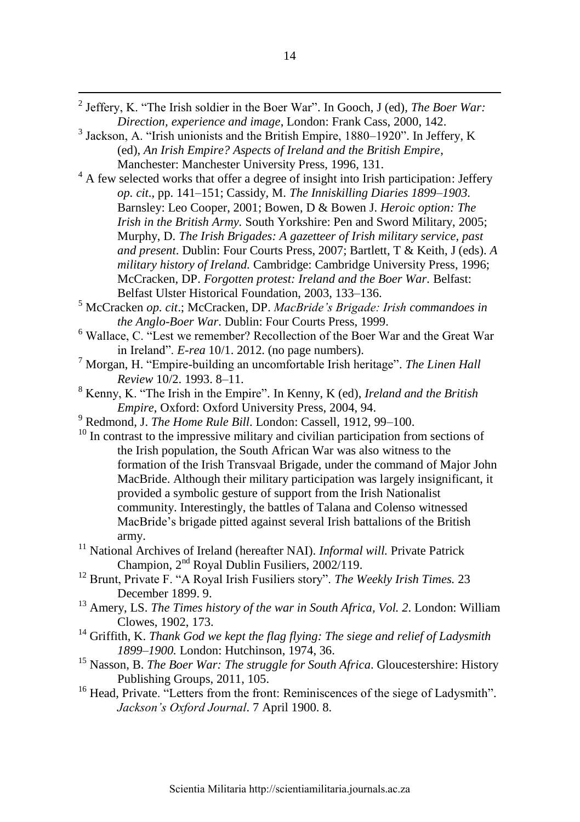| <sup>2</sup> Jeffery, K. "The Irish soldier in the Boer War". In Gooch, J (ed), <i>The Boer War</i> : |  |
|-------------------------------------------------------------------------------------------------------|--|
| Direction, experience and image, London: Frank Cass, 2000, 142.                                       |  |

-

- $3$  Jackson, A. "Irish unionists and the British Empire, 1880–1920". In Jeffery, K (ed), *An Irish Empire? Aspects of Ireland and the British Empire*, Manchester: Manchester University Press, 1996, 131.
- <sup>4</sup> A few selected works that offer a degree of insight into Irish participation: Jeffery *op. cit*., pp. 141–151; Cassidy, M. *The Inniskilling Diaries 1899–1903.* Barnsley: Leo Cooper, 2001; Bowen, D & Bowen J. *Heroic option: The Irish in the British Army.* South Yorkshire: Pen and Sword Military, 2005; Murphy, D. *The Irish Brigades: A gazetteer of Irish military service, past and present*. Dublin: Four Courts Press, 2007; Bartlett, T & Keith, J (eds). *A military history of Ireland.* Cambridge: Cambridge University Press, 1996; McCracken, DP. *Forgotten protest: Ireland and the Boer War.* Belfast: Belfast Ulster Historical Foundation, 2003, 133–136.
- 5 McCracken *op. cit*.; McCracken, DP. *MacBride's Brigade: Irish commandoes in the Anglo-Boer War*. Dublin: Four Courts Press, 1999.
- <sup>6</sup> Wallace, C. "Lest we remember? Recollection of the Boer War and the Great War in Ireland". *E-rea* 10/1. 2012. (no page numbers).
- 7 Morgan, H. "Empire-building an uncomfortable Irish heritage". *The Linen Hall Review* 10/2. 1993. 8–11.
- <sup>8</sup> Kenny, K. "The Irish in the Empire". In Kenny, K (ed), *Ireland and the British Empire*, Oxford: Oxford University Press, 2004, 94.
- 9 Redmond, J. *The Home Rule Bill*. London: Cassell, 1912, 99–100.
- <sup>10</sup> In contrast to the impressive military and civilian participation from sections of the Irish population, the South African War was also witness to the formation of the Irish Transvaal Brigade, under the command of Major John MacBride. Although their military participation was largely insignificant, it provided a symbolic gesture of support from the Irish Nationalist community. Interestingly, the battles of Talana and Colenso witnessed MacBride's brigade pitted against several Irish battalions of the British army.
- <sup>11</sup> National Archives of Ireland (hereafter NAI). *Informal will*. Private Patrick Champion, 2nd Royal Dublin Fusiliers, 2002/119.
- <sup>12</sup> Brunt, Private F. "A Royal Irish Fusiliers story". *The Weekly Irish Times.* 23 December 1899. 9.
- <sup>13</sup> Amery, LS. *The Times history of the war in South Africa, Vol. 2*. London: William Clowes, 1902, 173.
- <sup>14</sup> Griffith, K. *Thank God we kept the flag flying: The siege and relief of Ladysmith 1899–1900.* London: Hutchinson, 1974, 36.
- <sup>15</sup> Nasson, B. *The Boer War: The struggle for South Africa*. Gloucestershire: History Publishing Groups, 2011, 105.
- <sup>16</sup> Head, Private. "Letters from the front: Reminiscences of the siege of Ladysmith". *Jackson's Oxford Journal.* 7 April 1900. 8.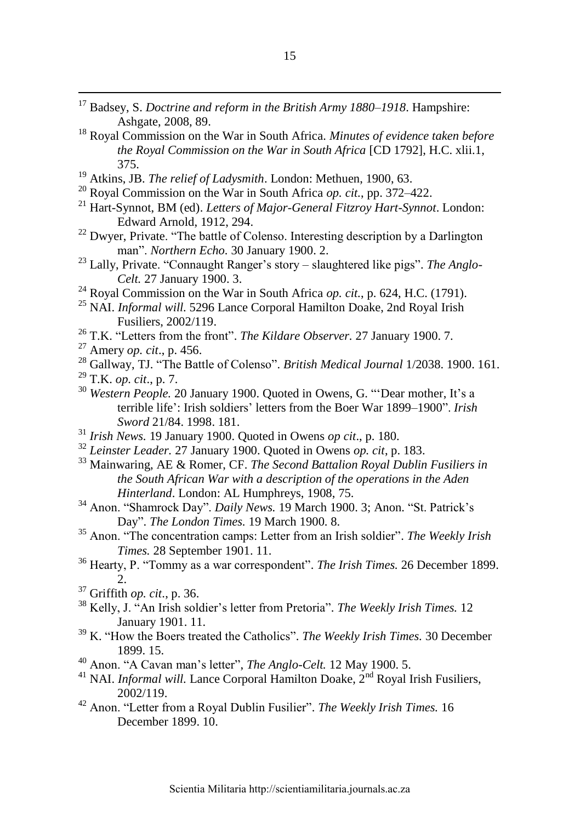- <sup>17</sup> Badsey, S. *Doctrine and reform in the British Army 1880–1918*. Hampshire: Ashgate, 2008, 89.
- <sup>18</sup> Royal Commission on the War in South Africa*. Minutes of evidence taken before the Royal Commission on the War in South Africa* [CD 1792], H.C. xlii.1, 375.
- <sup>19</sup> Atkins, JB. *The relief of Ladysmith*. London: Methuen, 1900, 63.
- <sup>20</sup> Royal Commission on the War in South Africa *op. cit.*, pp. 372–422.
- <sup>21</sup> Hart-Synnot, BM (ed). *Letters of Major-General Fitzroy Hart-Synnot*. London: Edward Arnold, 1912, 294.
- $22$  Dwyer, Private. "The battle of Colenso. Interesting description by a Darlington man". *Northern Echo.* 30 January 1900. 2.
- <sup>23</sup> Lally, Private. "Connaught Ranger's story slaughtered like pigs". *The Anglo-Celt.* 27 January 1900. 3.
- <sup>24</sup> Royal Commission on the War in South Africa *op. cit.*, p. 624, H.C. (1791).
- <sup>25</sup> NAI. *Informal will.* 5296 Lance Corporal Hamilton Doake, 2nd Royal Irish Fusiliers, 2002/119.
- <sup>26</sup> T.K. "Letters from the front". *The Kildare Observer.* 27 January 1900. 7.
- <sup>27</sup> Amery *op. cit*., p. 456.
- <sup>28</sup> Gallway, TJ. "The Battle of Colenso". *British Medical Journal* 1/2038. 1900. 161.
- <sup>29</sup> T.K. *op. cit*., p. 7.

-

- <sup>30</sup> Western People. 20 January 1900. Quoted in Owens, G. "Dear mother, It's a terrible life': Irish soldiers' letters from the Boer War 1899–1900". *Irish Sword* 21/84. 1998. 181.
- <sup>31</sup> *Irish News.* 19 January 1900. Quoted in Owens *op cit*., p. 180.
- <sup>32</sup> *Leinster Leader.* 27 January 1900. Quoted in Owens *op. cit*, p. 183.
- <sup>33</sup> Mainwaring, AE & Romer, CF. *The Second Battalion Royal Dublin Fusiliers in the South African War with a description of the operations in the Aden Hinterland*. London: AL Humphreys, 1908, 75.
- <sup>34</sup> Anon. "Shamrock Day". *Daily News.* 19 March 1900. 3; Anon. "St. Patrick's Day". *The London Times.* 19 March 1900. 8.
- <sup>35</sup> Anon. "The concentration camps: Letter from an Irish soldier". *The Weekly Irish Times.* 28 September 1901. 11.
- <sup>36</sup> Hearty, P. "Tommy as a war correspondent". *The Irish Times.* 26 December 1899. 2.
- <sup>37</sup> Griffith *op. cit*., p. 36.
- <sup>38</sup> Kelly, J. "An Irish soldier's letter from Pretoria". *The Weekly Irish Times.* 12 January 1901. 11.
- <sup>39</sup> K. "How the Boers treated the Catholics". *The Weekly Irish Times.* 30 December 1899. 15.
- <sup>40</sup> Anon. "A Cavan man's letter", *The Anglo-Celt.* 12 May 1900. 5.
- <sup>41</sup> NAI. *Informal will*. Lance Corporal Hamilton Doake, 2<sup>nd</sup> Royal Irish Fusiliers, 2002/119.
- <sup>42</sup> Anon. "Letter from a Royal Dublin Fusilier". *The Weekly Irish Times.* 16 December 1899. 10.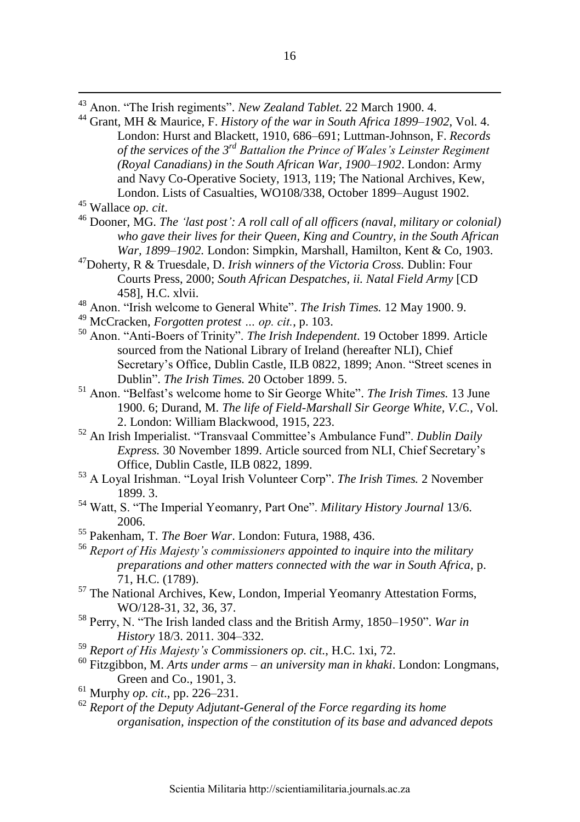- <sup>43</sup> Anon. "The Irish regiments". *New Zealand Tablet.* 22 March 1900. 4.
- <sup>44</sup> Grant, MH & Maurice, F. *History of the war in South Africa 1899–1902*, Vol. 4. London: Hurst and Blackett, 1910, 686–691; Luttman-Johnson, F. *Records of the services of the 3rd Battalion the Prince of Wales's Leinster Regiment (Royal Canadians) in the South African War, 1900–1902*. London: Army and Navy Co-Operative Society, 1913, 119; The National Archives, Kew, London. Lists of Casualties, WO108/338, October 1899–August 1902.
- <sup>45</sup> Wallace *op. cit*.

-

- <sup>46</sup> Dooner, MG. *The 'last post': A roll call of all officers (naval, military or colonial) who gave their lives for their Queen, King and Country, in the South African War, 1899–1902.* London: Simpkin, Marshall, Hamilton, Kent & Co, 1903.
- <sup>47</sup>Doherty, R & Truesdale, D. *Irish winners of the Victoria Cross.* Dublin: Four Courts Press, 2000; *South African Despatches, ii. Natal Field Army* [CD 458], H.C. xlvii.
- <sup>48</sup> Anon. "Irish welcome to General White". *The Irish Times.* 12 May 1900. 9.
- <sup>49</sup> McCracken, *Forgotten protest … op. cit.*, p. 103.
- <sup>50</sup> Anon. "Anti-Boers of Trinity". *The Irish Independent*. 19 October 1899. Article sourced from the National Library of Ireland (hereafter NLI), Chief Secretary's Office, Dublin Castle, ILB 0822, 1899; Anon. "Street scenes in Dublin". *The Irish Times.* 20 October 1899. 5.
- <sup>51</sup> Anon. "Belfast's welcome home to Sir George White". *The Irish Times.* 13 June 1900. 6; Durand, M. *The life of Field-Marshall Sir George White, V.C.,* Vol. 2. London: William Blackwood, 1915, 223.
- <sup>52</sup> An Irish Imperialist. "Transvaal Committee's Ambulance Fund". *Dublin Daily Express.* 30 November 1899. Article sourced from NLI, Chief Secretary's Office, Dublin Castle, ILB 0822, 1899.
- <sup>53</sup> A Loyal Irishman. "Loyal Irish Volunteer Corp". *The Irish Times.* 2 November 1899. 3.
- <sup>54</sup> Watt, S. "The Imperial Yeomanry, Part One". *Military History Journal* 13/6. 2006.
- <sup>55</sup> Pakenham, T. *The Boer War*. London: Futura, 1988, 436.
- <sup>56</sup> *Report of His Majesty's commissioners appointed to inquire into the military preparations and other matters connected with the war in South Africa,* p. 71, H.C. (1789).
- <sup>57</sup> The National Archives, Kew, London, Imperial Yeomanry Attestation Forms, WO/128-31, 32, 36, 37.
- <sup>58</sup> Perry, N. "The Irish landed class and the British Army, 1850–1950". *War in History* 18/3. 2011. 304–332.
- <sup>59</sup> *Report of His Majesty's Commissioners op. cit.*, H.C. 1xi, 72.
- <sup>60</sup> Fitzgibbon, M. *Arts under arms an university man in khaki*. London: Longmans, Green and Co., 1901, 3.
- <sup>61</sup> Murphy *op. cit*., pp. 226–231.
- <sup>62</sup> *Report of the Deputy Adjutant-General of the Force regarding its home organisation, inspection of the constitution of its base and advanced depots*